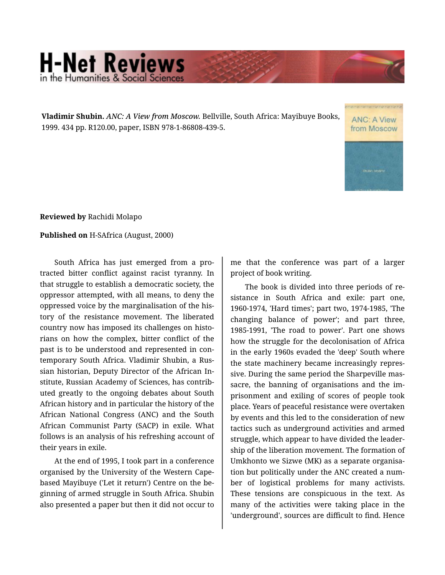## **H-Net Reviews** in the Humanities & Social Scie

**Vladimir Shubin.** *ANC: A View from Moscow.* Bellville, South Africa: Mayibuye Books, 1999. 434 pp. R120.00, paper, ISBN 978-1-86808-439-5.

**ANC: A View** from Moscow

**Reviewed by** Rachidi Molapo

**Published on** H-SAfrica (August, 2000)

South Africa has just emerged from a pro‐ tracted bitter conflict against racist tyranny. In that struggle to establish a democratic society, the oppressor attempted, with all means, to deny the oppressed voice by the marginalisation of the his‐ tory of the resistance movement. The liberated country now has imposed its challenges on histo‐ rians on how the complex, bitter conflict of the past is to be understood and represented in con‐ temporary South Africa. Vladimir Shubin, a Rus‐ sian historian, Deputy Director of the African In‐ stitute, Russian Academy of Sciences, has contrib‐ uted greatly to the ongoing debates about South African history and in particular the history of the African National Congress (ANC) and the South African Communist Party (SACP) in exile. What follows is an analysis of his refreshing account of their years in exile.

At the end of 1995, I took part in a conference organised by the University of the Western Capebased Mayibuye ('Let it return') Centre on the be‐ ginning of armed struggle in South Africa. Shubin also presented a paper but then it did not occur to

me that the conference was part of a larger project of book writing.

The book is divided into three periods of re‐ sistance in South Africa and exile: part one, 1960-1974, 'Hard times'; part two, 1974-1985, 'The changing balance of power'; and part three, 1985-1991, 'The road to power'. Part one shows how the struggle for the decolonisation of Africa in the early 1960s evaded the 'deep' South where the state machinery became increasingly repres‐ sive. During the same period the Sharpeville mas‐ sacre, the banning of organisations and the im‐ prisonment and exiling of scores of people took place. Years of peaceful resistance were overtaken by events and this led to the consideration of new tactics such as underground activities and armed struggle, which appear to have divided the leader‐ ship of the liberation movement. The formation of Umkhonto we Sizwe (MK) as a separate organisa‐ tion but politically under the ANC created a num‐ ber of logistical problems for many activists. These tensions are conspicuous in the text. As many of the activities were taking place in the 'underground', sources are difficult to find. Hence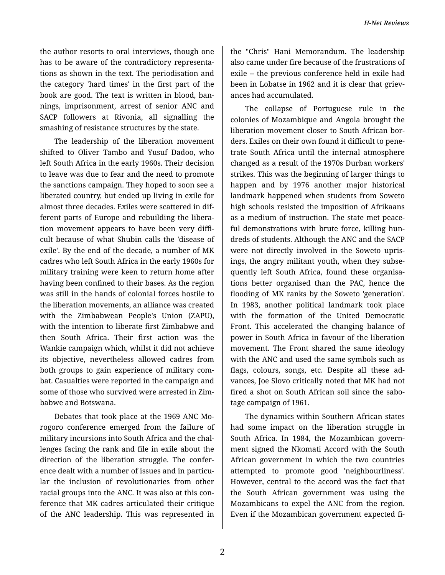the author resorts to oral interviews, though one has to be aware of the contradictory representa‐ tions as shown in the text. The periodisation and the category 'hard times' in the first part of the book are good. The text is written in blood, ban‐ nings, imprisonment, arrest of senior ANC and SACP followers at Rivonia, all signalling the smashing of resistance structures by the state.

The leadership of the liberation movement shifted to Oliver Tambo and Yusuf Dadoo, who left South Africa in the early 1960s. Their decision to leave was due to fear and the need to promote the sanctions campaign. They hoped to soon see a liberated country, but ended up living in exile for almost three decades. Exiles were scattered in dif‐ ferent parts of Europe and rebuilding the libera‐ tion movement appears to have been very diffi‐ cult because of what Shubin calls the 'disease of exile'. By the end of the decade, a number of MK cadres who left South Africa in the early 1960s for military training were keen to return home after having been confined to their bases. As the region was still in the hands of colonial forces hostile to the liberation movements, an alliance was created with the Zimbabwean People's Union (ZAPU), with the intention to liberate first Zimbabwe and then South Africa. Their first action was the Wankie campaign which, whilst it did not achieve its objective, nevertheless allowed cadres from both groups to gain experience of military com‐ bat. Casualties were reported in the campaign and some of those who survived were arrested in Zim‐ babwe and Botswana.

Debates that took place at the 1969 ANC Mo‐ rogoro conference emerged from the failure of military incursions into South Africa and the chal‐ lenges facing the rank and file in exile about the direction of the liberation struggle. The confer‐ ence dealt with a number of issues and in particular the inclusion of revolutionaries from other racial groups into the ANC. It was also at this con‐ ference that MK cadres articulated their critique of the ANC leadership. This was represented in

the "Chris" Hani Memorandum. The leadership also came under fire because of the frustrations of exile -- the previous conference held in exile had been in Lobatse in 1962 and it is clear that grievances had accumulated.

The collapse of Portuguese rule in the colonies of Mozambique and Angola brought the liberation movement closer to South African bor‐ ders. Exiles on their own found it difficult to pene‐ trate South Africa until the internal atmosphere changed as a result of the 1970s Durban workers' strikes. This was the beginning of larger things to happen and by 1976 another major historical landmark happened when students from Soweto high schools resisted the imposition of Afrikaans as a medium of instruction. The state met peace‐ ful demonstrations with brute force, killing hundreds of students. Although the ANC and the SACP were not directly involved in the Soweto upris‐ ings, the angry militant youth, when they subse‐ quently left South Africa, found these organisa‐ tions better organised than the PAC, hence the flooding of MK ranks by the Soweto 'generation'. In 1983, another political landmark took place with the formation of the United Democratic Front. This accelerated the changing balance of power in South Africa in favour of the liberation movement. The Front shared the same ideology with the ANC and used the same symbols such as flags, colours, songs, etc. Despite all these ad‐ vances, Joe Slovo critically noted that MK had not fired a shot on South African soil since the sabo‐ tage campaign of 1961.

The dynamics within Southern African states had some impact on the liberation struggle in South Africa. In 1984, the Mozambican govern‐ ment signed the Nkomati Accord with the South African government in which the two countries attempted to promote good 'neighbourliness'. However, central to the accord was the fact that the South African government was using the Mozambicans to expel the ANC from the region. Even if the Mozambican government expected fi‐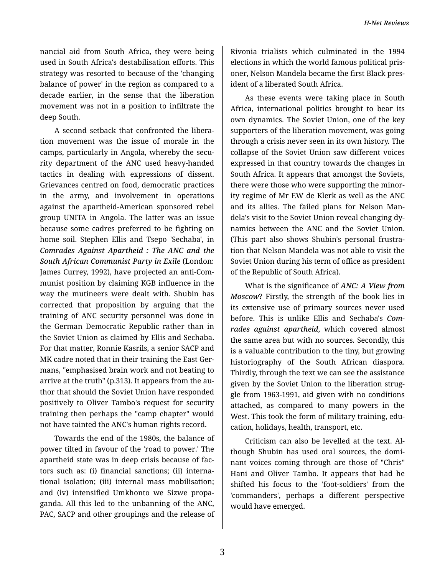nancial aid from South Africa, they were being used in South Africa's destabilisation efforts. This strategy was resorted to because of the 'changing balance of power' in the region as compared to a decade earlier, in the sense that the liberation movement was not in a position to infiltrate the deep South.

A second setback that confronted the libera‐ tion movement was the issue of morale in the camps, particularly in Angola, whereby the secu‐ rity department of the ANC used heavy-handed tactics in dealing with expressions of dissent. Grievances centred on food, democratic practices in the army, and involvement in operations against the apartheid-American sponsored rebel group UNITA in Angola. The latter was an issue because some cadres preferred to be fighting on home soil. Stephen Ellis and Tsepo 'Sechaba', in *Comrades Against Apartheid : The ANC and the South African Communist Party in Exile* (London: James Currey, 1992), have projected an anti-Com‐ munist position by claiming KGB influence in the way the mutineers were dealt with. Shubin has corrected that proposition by arguing that the training of ANC security personnel was done in the German Democratic Republic rather than in the Soviet Union as claimed by Ellis and Sechaba. For that matter, Ronnie Kasrils, a senior SACP and MK cadre noted that in their training the East Ger‐ mans, "emphasised brain work and not beating to arrive at the truth" (p.313). It appears from the au‐ thor that should the Soviet Union have responded positively to Oliver Tambo's request for security training then perhaps the "camp chapter" would not have tainted the ANC's human rights record.

Towards the end of the 1980s, the balance of power tilted in favour of the 'road to power.' The apartheid state was in deep crisis because of fac‐ tors such as: (i) financial sanctions; (ii) interna‐ tional isolation; (iii) internal mass mobilisation; and (iv) intensified Umkhonto we Sizwe propa‐ ganda. All this led to the unbanning of the ANC, PAC, SACP and other groupings and the release of

Rivonia trialists which culminated in the 1994 elections in which the world famous political pris‐ oner, Nelson Mandela became the first Black pres‐ ident of a liberated South Africa.

As these events were taking place in South Africa, international politics brought to bear its own dynamics. The Soviet Union, one of the key supporters of the liberation movement, was going through a crisis never seen in its own history. The collapse of the Soviet Union saw different voices expressed in that country towards the changes in South Africa. It appears that amongst the Soviets, there were those who were supporting the minor‐ ity regime of Mr F.W de Klerk as well as the ANC and its allies. The failed plans for Nelson Man‐ dela's visit to the Soviet Union reveal changing dy‐ namics between the ANC and the Soviet Union. (This part also shows Shubin's personal frustra‐ tion that Nelson Mandela was not able to visit the Soviet Union during his term of office as president of the Republic of South Africa).

What is the significance of *ANC: A View from Moscow*? Firstly, the strength of the book lies in its extensive use of primary sources never used before. This is unlike Ellis and Sechaba's *Com‐ rades against apartheid*, which covered almost the same area but with no sources. Secondly, this is a valuable contribution to the tiny, but growing historiography of the South African diaspora. Thirdly, through the text we can see the assistance given by the Soviet Union to the liberation strug‐ gle from 1963-1991, aid given with no conditions attached, as compared to many powers in the West. This took the form of military training, education, holidays, health, transport, etc.

Criticism can also be levelled at the text. Al‐ though Shubin has used oral sources, the domi‐ nant voices coming through are those of "Chris" Hani and Oliver Tambo. It appears that had he shifted his focus to the 'foot-soldiers' from the 'commanders', perhaps a different perspective would have emerged.

3